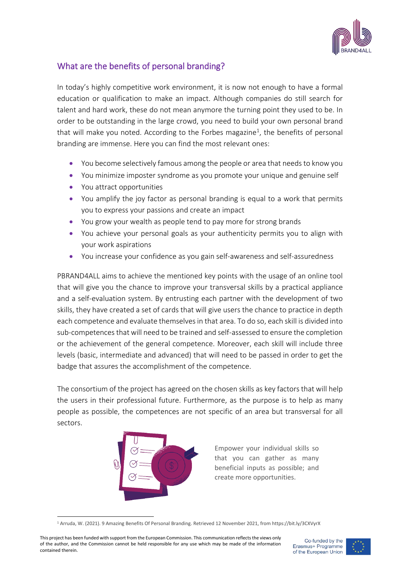

## What are the benefits of personal branding?

In today's highly competitive work environment, it is now not enough to have a formal education or qualification to make an impact. Although companies do still search for talent and hard work, these do not mean anymore the turning point they used to be. In order to be outstanding in the large crowd, you need to build your own personal brand that will make you noted. According to the Forbes magazine<sup>1</sup>, the benefits of personal branding are immense. Here you can find the most relevant ones:

- You become selectively famous among the people or area that needs to know you
- You minimize imposter syndrome as you promote your unique and genuine self
- You attract opportunities
- You amplify the joy factor as personal branding is equal to a work that permits you to express your passions and create an impact
- You grow your wealth as people tend to pay more for strong brands
- You achieve your personal goals as your authenticity permits you to align with your work aspirations
- You increase your confidence as you gain self-awareness and self-assuredness

PBRAND4ALL aims to achieve the mentioned key points with the usage of an online tool that will give you the chance to improve your transversal skills by a practical appliance and a self-evaluation system. By entrusting each partner with the development of two skills, they have created a set of cards that will give users the chance to practice in depth each competence and evaluate themselves in that area. To do so, each skill is divided into sub-competences that will need to be trained and self-assessed to ensure the completion or the achievement of the general competence. Moreover, each skill will include three levels (basic, intermediate and advanced) that will need to be passed in order to get the badge that assures the accomplishment of the competence.

The consortium of the project has agreed on the chosen skills as key factors that will help the users in their professional future. Furthermore, as the purpose is to help as many people as possible, the competences are not specific of an area but transversal for all sectors.



Empower your individual skills so that you can gather as many beneficial inputs as possible; and create more opportunities.



<sup>1</sup> Arruda, W. (2021). 9 Amazing Benefits Of Personal Branding. Retrieved 12 November 2021, from https://bit.ly/3CXVyrX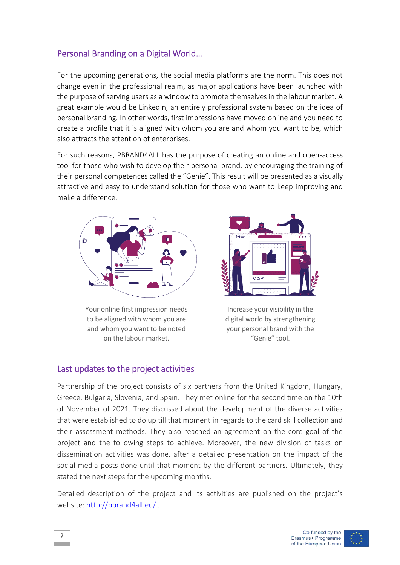## Personal Branding on a Digital World…

For the upcoming generations, the social media platforms are the norm. This does not change even in the professional realm, as major applications have been launched with the purpose of serving users as a window to promote themselves in the labour market. A great example would be LinkedIn, an entirely professional system based on the idea of personal branding. In other words, first impressions have moved online and you need to create a profile that it is aligned with whom you are and whom you want to be, which also attracts the attention of enterprises.

For such reasons, PBRAND4ALL has the purpose of creating an online and open-access tool for those who wish to develop their personal brand, by encouraging the training of their personal competences called the "Genie". This result will be presented as a visually attractive and easy to understand solution for those who want to keep improving and make a difference.



Your online first impression needs to be aligned with whom you are and whom you want to be noted on the labour market.



Increase your visibility in the digital world by strengthening your personal brand with the "Genie" tool.

## Last updates to the project activities

Partnership of the project consists of six partners from the United Kingdom, Hungary, Greece, Bulgaria, Slovenia, and Spain. They met online for the second time on the 10th of November of 2021. They discussed about the development of the diverse activities that were established to do up till that moment in regards to the card skill collection and their assessment methods. They also reached an agreement on the core goal of the project and the following steps to achieve. Moreover, the new division of tasks on dissemination activities was done, after a detailed presentation on the impact of the social media posts done until that moment by the different partners. Ultimately, they stated the next steps for the upcoming months.

Detailed description of the project and its activities are published on the project's website:<http://pbrand4all.eu/> .